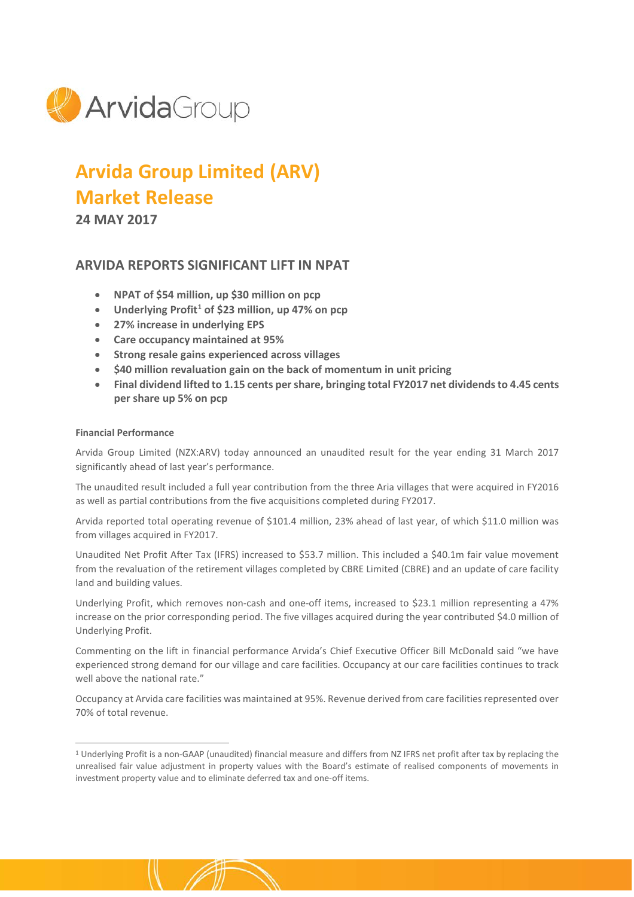

# **Arvida Group Limited (ARV) Market Release**

**24 MAY 2017**

# **ARVIDA REPORTS SIGNIFICANT LIFT IN NPAT**

- **NPAT of \$54 million, up \$30 million on pcp**
- **Underlying Profit[1](#page-0-0) of \$23 million, up 47% on pcp**
- **27% increase in underlying EPS**
- **Care occupancy maintained at 95%**
- **Strong resale gains experienced across villages**
- **\$40 million revaluation gain on the back of momentum in unit pricing**
- **Final dividend lifted to 1.15 cents per share, bringing total FY2017 net dividends to 4.45 cents per share up 5% on pcp**

# **Financial Performance**

Arvida Group Limited (NZX:ARV) today announced an unaudited result for the year ending 31 March 2017 significantly ahead of last year's performance.

The unaudited result included a full year contribution from the three Aria villages that were acquired in FY2016 as well as partial contributions from the five acquisitions completed during FY2017.

Arvida reported total operating revenue of \$101.4 million, 23% ahead of last year, of which \$11.0 million was from villages acquired in FY2017.

Unaudited Net Profit After Tax (IFRS) increased to \$53.7 million. This included a \$40.1m fair value movement from the revaluation of the retirement villages completed by CBRE Limited (CBRE) and an update of care facility land and building values.

Underlying Profit, which removes non-cash and one-off items, increased to \$23.1 million representing a 47% increase on the prior corresponding period. The five villages acquired during the year contributed \$4.0 million of Underlying Profit.

Commenting on the lift in financial performance Arvida's Chief Executive Officer Bill McDonald said "we have experienced strong demand for our village and care facilities. Occupancy at our care facilities continues to track well above the national rate."

Occupancy at Arvida care facilities was maintained at 95%. Revenue derived from care facilities represented over 70% of total revenue.

<span id="page-0-0"></span><sup>&</sup>lt;sup>1</sup> Underlying Profit is a non-GAAP (unaudited) financial measure and differs from NZ IFRS net profit after tax by replacing the unrealised fair value adjustment in property values with the Board's estimate of realised components of movements in investment property value and to eliminate deferred tax and one-off items.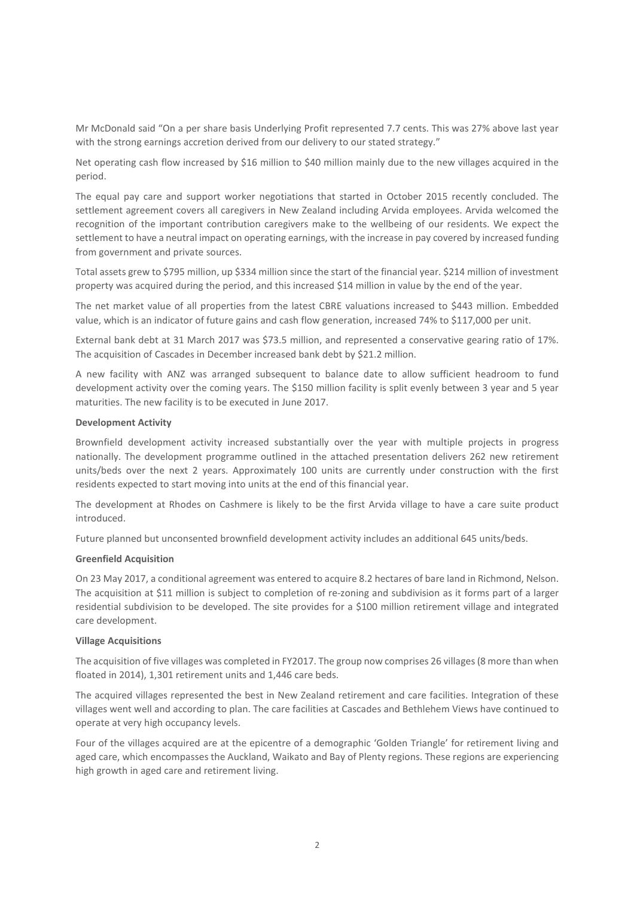Mr McDonald said "On a per share basis Underlying Profit represented 7.7 cents. This was 27% above last year with the strong earnings accretion derived from our delivery to our stated strategy."

Net operating cash flow increased by \$16 million to \$40 million mainly due to the new villages acquired in the period.

The equal pay care and support worker negotiations that started in October 2015 recently concluded. The settlement agreement covers all caregivers in New Zealand including Arvida employees. Arvida welcomed the recognition of the important contribution caregivers make to the wellbeing of our residents. We expect the settlement to have a neutral impact on operating earnings, with the increase in pay covered by increased funding from government and private sources.

Total assets grew to \$795 million, up \$334 million since the start of the financial year. \$214 million of investment property was acquired during the period, and this increased \$14 million in value by the end of the year.

The net market value of all properties from the latest CBRE valuations increased to \$443 million. Embedded value, which is an indicator of future gains and cash flow generation, increased 74% to \$117,000 per unit.

External bank debt at 31 March 2017 was \$73.5 million, and represented a conservative gearing ratio of 17%. The acquisition of Cascades in December increased bank debt by \$21.2 million.

A new facility with ANZ was arranged subsequent to balance date to allow sufficient headroom to fund development activity over the coming years. The \$150 million facility is split evenly between 3 year and 5 year maturities. The new facility is to be executed in June 2017.

# **Development Activity**

Brownfield development activity increased substantially over the year with multiple projects in progress nationally. The development programme outlined in the attached presentation delivers 262 new retirement units/beds over the next 2 years. Approximately 100 units are currently under construction with the first residents expected to start moving into units at the end of this financial year.

The development at Rhodes on Cashmere is likely to be the first Arvida village to have a care suite product introduced.

Future planned but unconsented brownfield development activity includes an additional 645 units/beds.

#### **Greenfield Acquisition**

On 23 May 2017, a conditional agreement was entered to acquire 8.2 hectares of bare land in Richmond, Nelson. The acquisition at \$11 million is subject to completion of re-zoning and subdivision as it forms part of a larger residential subdivision to be developed. The site provides for a \$100 million retirement village and integrated care development.

#### **Village Acquisitions**

The acquisition of five villages was completed in FY2017. The group now comprises 26 villages(8 more than when floated in 2014), 1,301 retirement units and 1,446 care beds.

The acquired villages represented the best in New Zealand retirement and care facilities. Integration of these villages went well and according to plan. The care facilities at Cascades and Bethlehem Views have continued to operate at very high occupancy levels.

Four of the villages acquired are at the epicentre of a demographic 'Golden Triangle' for retirement living and aged care, which encompasses the Auckland, Waikato and Bay of Plenty regions. These regions are experiencing high growth in aged care and retirement living.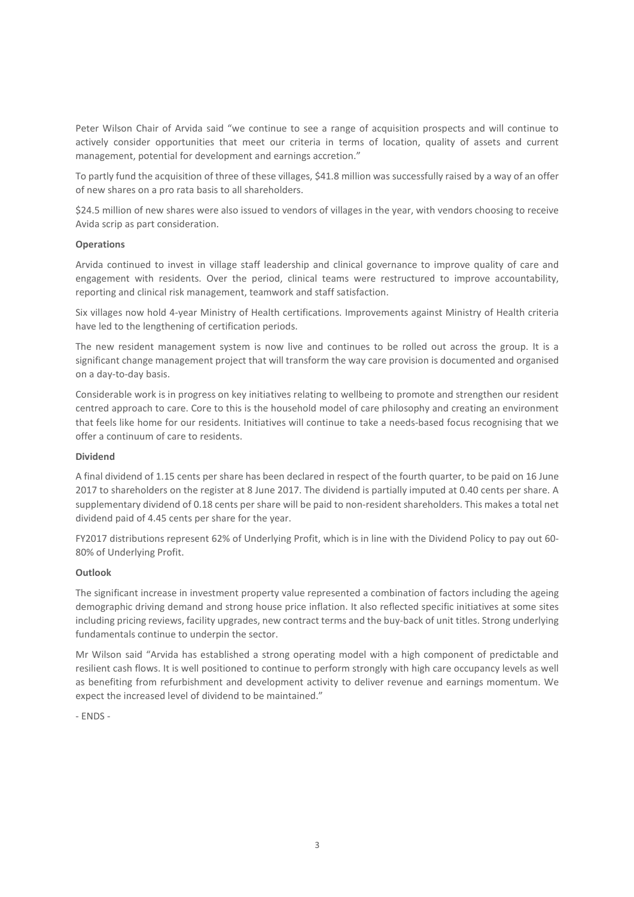Peter Wilson Chair of Arvida said "we continue to see a range of acquisition prospects and will continue to actively consider opportunities that meet our criteria in terms of location, quality of assets and current management, potential for development and earnings accretion."

To partly fund the acquisition of three of these villages, \$41.8 million was successfully raised by a way of an offer of new shares on a pro rata basis to all shareholders.

\$24.5 million of new shares were also issued to vendors of villages in the year, with vendors choosing to receive Avida scrip as part consideration.

# **Operations**

Arvida continued to invest in village staff leadership and clinical governance to improve quality of care and engagement with residents. Over the period, clinical teams were restructured to improve accountability, reporting and clinical risk management, teamwork and staff satisfaction.

Six villages now hold 4-year Ministry of Health certifications. Improvements against Ministry of Health criteria have led to the lengthening of certification periods.

The new resident management system is now live and continues to be rolled out across the group. It is a significant change management project that will transform the way care provision is documented and organised on a day-to-day basis.

Considerable work is in progress on key initiatives relating to wellbeing to promote and strengthen our resident centred approach to care. Core to this is the household model of care philosophy and creating an environment that feels like home for our residents. Initiatives will continue to take a needs-based focus recognising that we offer a continuum of care to residents.

#### **Dividend**

A final dividend of 1.15 cents per share has been declared in respect of the fourth quarter, to be paid on 16 June 2017 to shareholders on the register at 8 June 2017. The dividend is partially imputed at 0.40 cents per share. A supplementary dividend of 0.18 cents per share will be paid to non-resident shareholders. This makes a total net dividend paid of 4.45 cents per share for the year.

FY2017 distributions represent 62% of Underlying Profit, which is in line with the Dividend Policy to pay out 60- 80% of Underlying Profit.

#### **Outlook**

The significant increase in investment property value represented a combination of factors including the ageing demographic driving demand and strong house price inflation. It also reflected specific initiatives at some sites including pricing reviews, facility upgrades, new contract terms and the buy-back of unit titles. Strong underlying fundamentals continue to underpin the sector.

Mr Wilson said "Arvida has established a strong operating model with a high component of predictable and resilient cash flows. It is well positioned to continue to perform strongly with high care occupancy levels as well as benefiting from refurbishment and development activity to deliver revenue and earnings momentum. We expect the increased level of dividend to be maintained."

- ENDS -